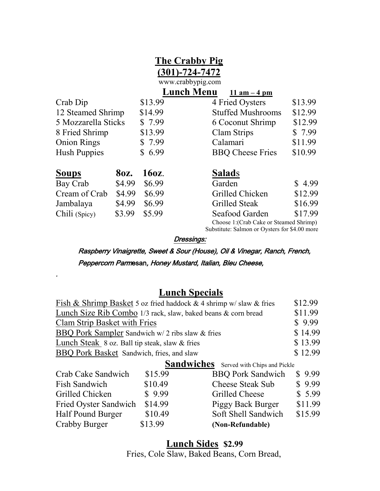|                                                                                          |        |         | The Crabby Pig<br>$(301) - 724 - 7472$<br>www.crabbypig.com |         |
|------------------------------------------------------------------------------------------|--------|---------|-------------------------------------------------------------|---------|
|                                                                                          |        |         | <b>Lunch Menu</b><br>11 am $-4$ pm                          |         |
| Crab Dip                                                                                 |        | \$13.99 | 4 Fried Oysters                                             | \$13.99 |
| 12 Steamed Shrimp                                                                        |        | \$14.99 | <b>Stuffed Mushrooms</b>                                    | \$12.99 |
| 5 Mozzarella Sticks                                                                      |        | \$7.99  | 6 Coconut Shrimp                                            | \$12.99 |
| 8 Fried Shrimp                                                                           |        | \$13.99 | Clam Strips                                                 | \$7.99  |
| <b>Onion Rings</b>                                                                       |        | \$7.99  | Calamari                                                    | \$11.99 |
| <b>Hush Puppies</b>                                                                      |        | \$6.99  | <b>BBQ Cheese Fries</b>                                     | \$10.99 |
| <b>Soups</b>                                                                             | 80z.   | 160z.   | <b>Salads</b>                                               |         |
| Bay Crab                                                                                 | \$4.99 | \$6.99  | Garden                                                      | \$4.99  |
| Cream of Crab                                                                            | \$4.99 | \$6.99  | Grilled Chicken                                             | \$12.99 |
| Jambalaya                                                                                | \$4.99 | \$6.99  | <b>Grilled Steak</b>                                        | \$16.99 |
| Chili (Spicy)                                                                            | \$3.99 | \$5.99  | Seafood Garden                                              | \$17.99 |
| Choose 1: (Crab Cake or Steamed Shrimp)<br>Substitute: Salmon or Oysters for \$4.00 more |        |         |                                                             |         |

Dressings:

Raspberry Vinaigrette, Sweet & Sour (House), Oil & Vinegar, Ranch, French, Peppercorn Parmesan, Honey Mustard, Italian, Bleu Cheese,

## **Lunch Specials**

.

| Fish & Shrimp Basket 5 oz fried haddock & 4 shrimp w/slaw & fries | \$12.99 |
|-------------------------------------------------------------------|---------|
| Lunch Size Rib Combo 1/3 rack, slaw, baked beans & corn bread     | \$11.99 |
| Clam Strip Basket with Fries                                      | \$9.99  |
| BBQ Pork Sampler Sandwich w/ 2 ribs slaw & fries                  | \$14.99 |
| Lunch Steak 8 oz. Ball tip steak, slaw & fries                    | \$13.99 |
| BBQ Pork Basket Sandwich, fries, and slaw                         | \$12.99 |
| <b>Sandwiches</b> Served with Chips and Pickle                    |         |

| Crab Cake Sandwich    | \$15.99 | <b>BBQ Pork Sandwich</b> | \$9.99  |
|-----------------------|---------|--------------------------|---------|
| Fish Sandwich         | \$10.49 | <b>Cheese Steak Sub</b>  | \$9.99  |
| Grilled Chicken       | \$9.99  | Grilled Cheese           | \$5.99  |
| Fried Oyster Sandwich | \$14.99 | Piggy Back Burger        | \$11.99 |
| Half Pound Burger     | \$10.49 | Soft Shell Sandwich      | \$15.99 |
| Crabby Burger         | \$13.99 | (Non-Refundable)         |         |
|                       |         |                          |         |

 **Lunch Sides \$2.99**

Fries, Cole Slaw, Baked Beans, Corn Bread,